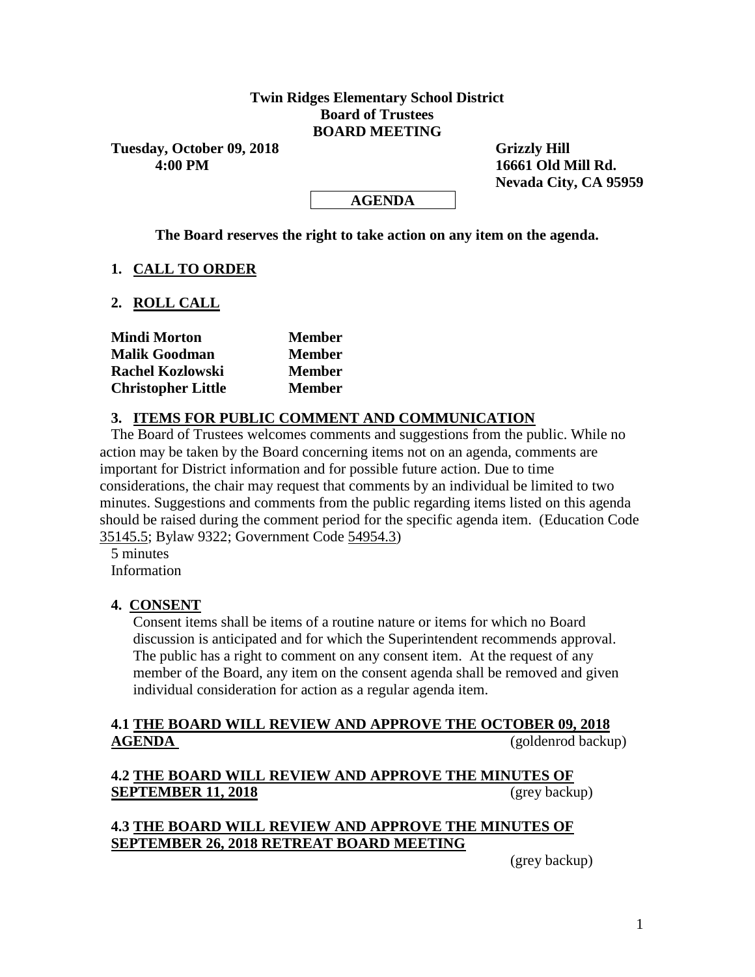### **Twin Ridges Elementary School District Board of Trustees BOARD MEETING**

Tuesday, October 09, 2018 Grizzly Hill  **4:00 PM 16661 Old Mill Rd.**

 **Nevada City, CA 95959**

#### **AGENDA**

**The Board reserves the right to take action on any item on the agenda.**

### **1. CALL TO ORDER**

**2. ROLL CALL**

| Mindi Morton              | <b>Member</b> |
|---------------------------|---------------|
| <b>Malik Goodman</b>      | <b>Member</b> |
| <b>Rachel Kozlowski</b>   | <b>Member</b> |
| <b>Christopher Little</b> | <b>Member</b> |

#### **3. ITEMS FOR PUBLIC COMMENT AND COMMUNICATION**

The Board of Trustees welcomes comments and suggestions from the public. While no action may be taken by the Board concerning items not on an agenda, comments are important for District information and for possible future action. Due to time considerations, the chair may request that comments by an individual be limited to two minutes. Suggestions and comments from the public regarding items listed on this agenda should be raised during the comment period for the specific agenda item. (Education Code 35145.5; Bylaw 9322; Government Code 54954.3)

5 minutes Information

#### **4. CONSENT**

Consent items shall be items of a routine nature or items for which no Board discussion is anticipated and for which the Superintendent recommends approval. The public has a right to comment on any consent item. At the request of any member of the Board, any item on the consent agenda shall be removed and given individual consideration for action as a regular agenda item.

#### **4.1 THE BOARD WILL REVIEW AND APPROVE THE OCTOBER 09, 2018 AGENDA** (goldenrod backup)

# **4.2 THE BOARD WILL REVIEW AND APPROVE THE MINUTES OF SEPTEMBER 11, 2018** (grey backup)

#### **4.3 THE BOARD WILL REVIEW AND APPROVE THE MINUTES OF SEPTEMBER 26, 2018 RETREAT BOARD MEETING**

(grey backup)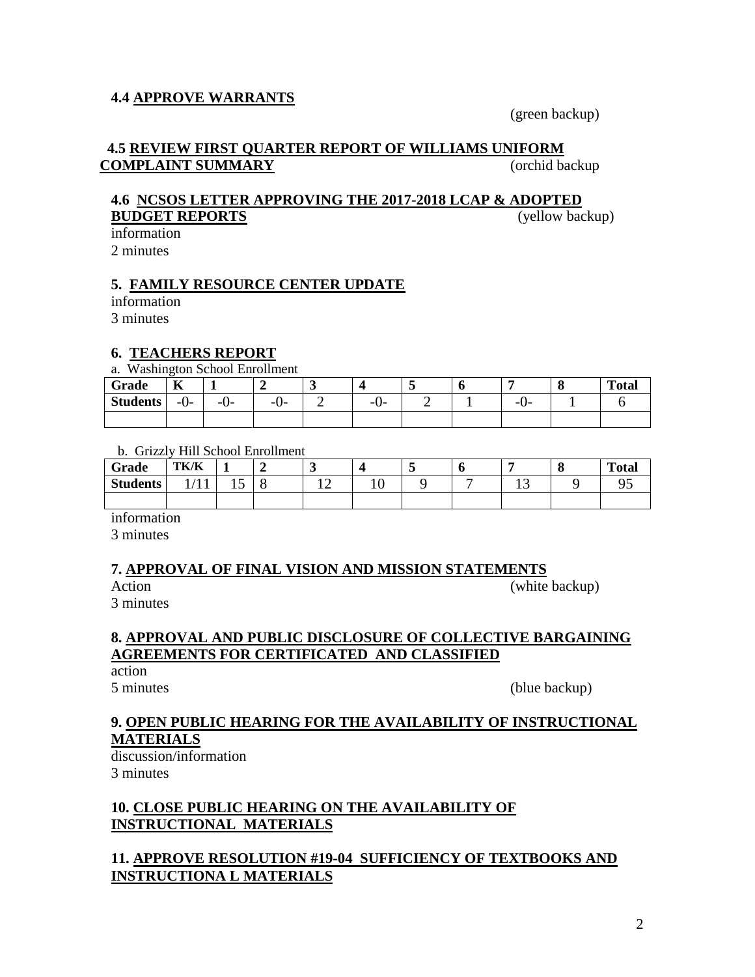#### **4.4 APPROVE WARRANTS**

(green backup)

#### **4.5 REVIEW FIRST QUARTER REPORT OF WILLIAMS UNIFORM COMPLAINT SUMMARY** (orchid backup

# **4.6 NCSOS LETTER APPROVING THE 2017-2018 LCAP & ADOPTED BUDGET REPORTS** (yellow backup)

information 2 minutes

#### **5. FAMILY RESOURCE CENTER UPDATE**

information 3 minutes

#### **6. TEACHERS REPORT**

a. Washington School Enrollment

| Grade           | $-$<br>л. |           |     | $\sim$ |    |   | . . |           | <b>Total</b> |
|-----------------|-----------|-----------|-----|--------|----|---|-----|-----------|--------------|
| <b>Students</b> | $-U$ -    | --<br>. . | -0- |        | -- | - |     | . .<br>-- |              |
|                 |           |           |     |        |    |   |     |           |              |

b. Grizzly Hill School Enrollment

| Grade           | TK/K                                                                                                                                                                                                                                                                                                                                                                                                                        |     | ັ |     | -0 |    | л. | <b>Total</b> |
|-----------------|-----------------------------------------------------------------------------------------------------------------------------------------------------------------------------------------------------------------------------------------------------------------------------------------------------------------------------------------------------------------------------------------------------------------------------|-----|---|-----|----|----|----|--------------|
| <b>Students</b> | $\frac{1}{1 + \frac{1}{1 + \frac{1}{1 + \frac{1}{1 + \frac{1}{1 + \frac{1}{1 + \frac{1}{1 + \frac{1}{1 + \frac{1}{1 + \frac{1}{1 + \frac{1}{1 + \frac{1}{1 + \frac{1}{1 + \frac{1}{1 + \frac{1}{1 + \frac{1}{1 + \frac{1}{1 + \frac{1}{1 + \frac{1}{1 + \frac{1}{1 + \frac{1}{1 + \frac{1}{1 + \frac{1}{1 + \frac{1}{1 + \frac{1}{1 + \frac{1}{1 + \frac{1}{1 + \frac{1}{1 + \frac{1}{1 + \frac{1}{1 + \frac{1}{1 + \frac{$ | ⊥ ~ | ∸ | 1 V |    | ⊥ື |    |              |
|                 |                                                                                                                                                                                                                                                                                                                                                                                                                             |     |   |     |    |    |    |              |

information

3 minutes

#### **7. APPROVAL OF FINAL VISION AND MISSION STATEMENTS**

3 minutes

Action (white backup)

### **8. APPROVAL AND PUBLIC DISCLOSURE OF COLLECTIVE BARGAINING AGREEMENTS FOR CERTIFICATED AND CLASSIFIED**

action

5 minutes (blue backup)

#### **9. OPEN PUBLIC HEARING FOR THE AVAILABILITY OF INSTRUCTIONAL MATERIALS**

discussion/information 3 minutes

# **10. CLOSE PUBLIC HEARING ON THE AVAILABILITY OF INSTRUCTIONAL MATERIALS**

## **11. APPROVE RESOLUTION #19-04 SUFFICIENCY OF TEXTBOOKS AND INSTRUCTIONA L MATERIALS**